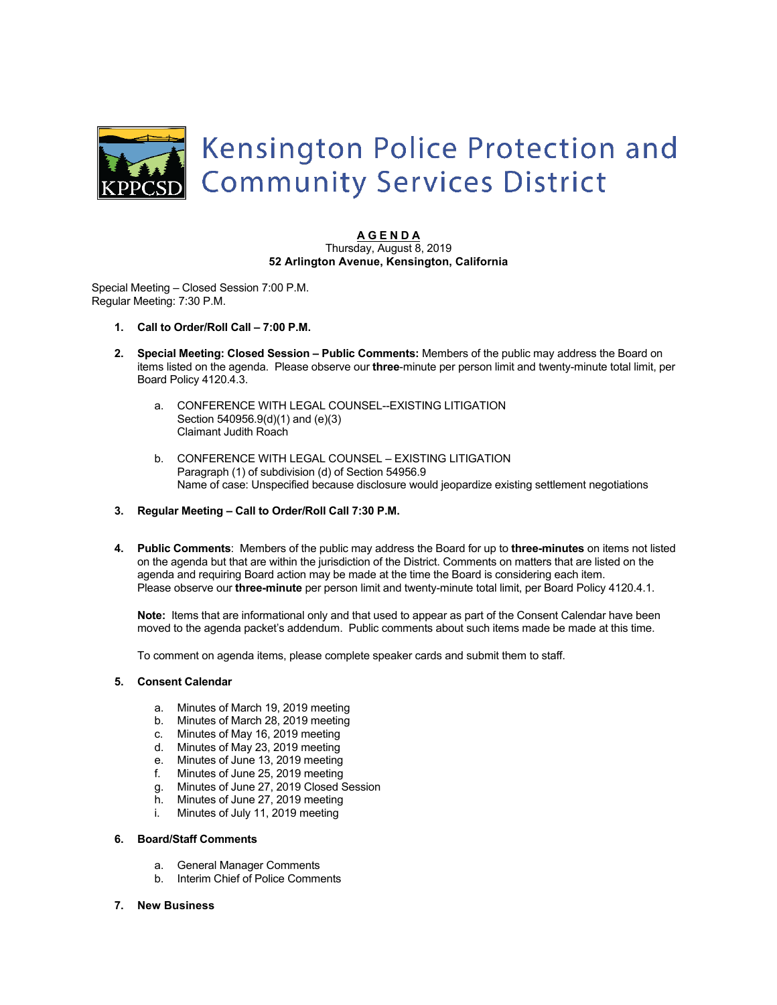

#### **A G E N D A** Thursday, August 8, 2019 **52 Arlington Avenue, Kensington, California**

Special Meeting – Closed Session 7:00 P.M. Regular Meeting: 7:30 P.M.

- **1. Call to Order/Roll Call – 7:00 P.M.**
- **2. Special Meeting: Closed Session – Public Comments:** Members of the public may address the Board on items listed on the agenda. Please observe our **three**-minute per person limit and twenty-minute total limit, per Board Policy 4120.4.3.
	- a. CONFERENCE WITH LEGAL COUNSEL--EXISTING LITIGATION Section 540956.9(d)(1) and (e)(3) Claimant Judith Roach
	- b. CONFERENCE WITH LEGAL COUNSEL EXISTING LITIGATION Paragraph (1) of subdivision (d) of Section 54956.9 Name of case: Unspecified because disclosure would jeopardize existing settlement negotiations
- **3. Regular Meeting – Call to Order/Roll Call 7:30 P.M.**
- **4. Public Comments**: Members of the public may address the Board for up to **three-minutes** on items not listed on the agenda but that are within the jurisdiction of the District. Comments on matters that are listed on the agenda and requiring Board action may be made at the time the Board is considering each item. Please observe our **three-minute** per person limit and twenty-minute total limit, per Board Policy 4120.4.1.

**Note:** Items that are informational only and that used to appear as part of the Consent Calendar have been moved to the agenda packet's addendum. Public comments about such items made be made at this time.

To comment on agenda items, please complete speaker cards and submit them to staff.

#### **5. Consent Calendar**

- a. Minutes of March 19, 2019 meeting
- b. Minutes of March 28, 2019 meeting
- c. Minutes of May 16, 2019 meeting
- d. Minutes of May 23, 2019 meeting
- e. Minutes of June 13, 2019 meeting
- f. Minutes of June 25, 2019 meeting
- g. Minutes of June 27, 2019 Closed Session
- h. Minutes of June 27, 2019 meeting
- i. Minutes of July 11, 2019 meeting

# **6. Board/Staff Comments**

- a. General Manager Comments
- b. Interim Chief of Police Comments
- **7. New Business**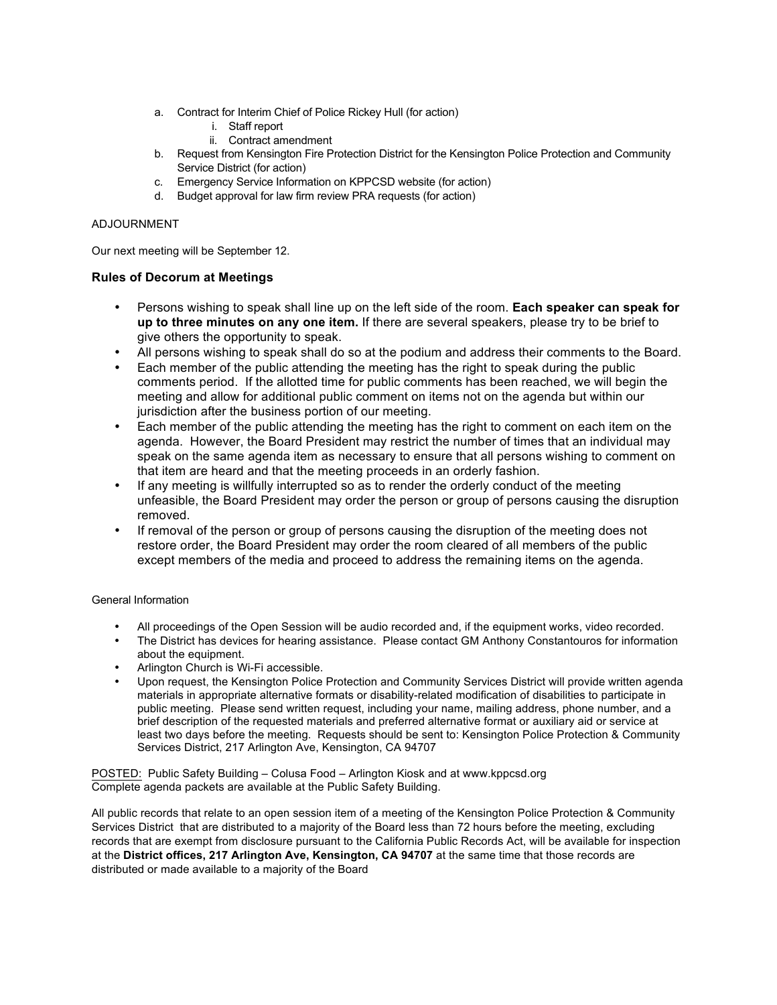- a. Contract for Interim Chief of Police Rickey Hull (for action)
	- i. Staff report
	- ii. Contract amendment
- b. Request from Kensington Fire Protection District for the Kensington Police Protection and Community Service District (for action)
- c. Emergency Service Information on KPPCSD website (for action)
- d. Budget approval for law firm review PRA requests (for action)

## ADJOURNMENT

Our next meeting will be September 12.

# **Rules of Decorum at Meetings**

- Persons wishing to speak shall line up on the left side of the room. **Each speaker can speak for up to three minutes on any one item.** If there are several speakers, please try to be brief to give others the opportunity to speak.
- All persons wishing to speak shall do so at the podium and address their comments to the Board.
- Each member of the public attending the meeting has the right to speak during the public comments period. If the allotted time for public comments has been reached, we will begin the meeting and allow for additional public comment on items not on the agenda but within our jurisdiction after the business portion of our meeting.
- Each member of the public attending the meeting has the right to comment on each item on the agenda. However, the Board President may restrict the number of times that an individual may speak on the same agenda item as necessary to ensure that all persons wishing to comment on that item are heard and that the meeting proceeds in an orderly fashion.
- If any meeting is willfully interrupted so as to render the orderly conduct of the meeting unfeasible, the Board President may order the person or group of persons causing the disruption removed.
- If removal of the person or group of persons causing the disruption of the meeting does not restore order, the Board President may order the room cleared of all members of the public except members of the media and proceed to address the remaining items on the agenda.

### General Information

- All proceedings of the Open Session will be audio recorded and, if the equipment works, video recorded.
- The District has devices for hearing assistance. Please contact GM Anthony Constantouros for information about the equipment.
- Arlington Church is Wi-Fi accessible.
- Upon request, the Kensington Police Protection and Community Services District will provide written agenda materials in appropriate alternative formats or disability-related modification of disabilities to participate in public meeting. Please send written request, including your name, mailing address, phone number, and a brief description of the requested materials and preferred alternative format or auxiliary aid or service at least two days before the meeting. Requests should be sent to: Kensington Police Protection & Community Services District, 217 Arlington Ave, Kensington, CA 94707

POSTED: Public Safety Building – Colusa Food – Arlington Kiosk and at www.kppcsd.org Complete agenda packets are available at the Public Safety Building.

All public records that relate to an open session item of a meeting of the Kensington Police Protection & Community Services District that are distributed to a majority of the Board less than 72 hours before the meeting, excluding records that are exempt from disclosure pursuant to the California Public Records Act, will be available for inspection at the **District offices, 217 Arlington Ave, Kensington, CA 94707** at the same time that those records are distributed or made available to a majority of the Board